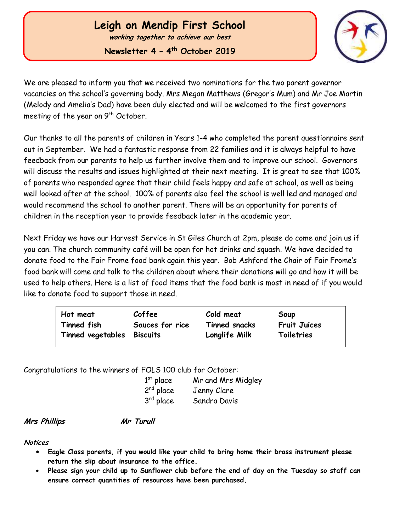# **Leigh on Mendip First School**

**working together to achieve our best**

**Newsletter 4 – 4 th October 2019**



We are pleased to inform you that we received two nominations for the two parent governor vacancies on the school's governing body. Mrs Megan Matthews (Gregor's Mum) and Mr Joe Martin (Melody and Amelia's Dad) have been duly elected and will be welcomed to the first governors meeting of the year on 9<sup>th</sup> October.

Our thanks to all the parents of children in Years 1-4 who completed the parent questionnaire sent out in September. We had a fantastic response from 22 families and it is always helpful to have feedback from our parents to help us further involve them and to improve our school. Governors will discuss the results and issues highlighted at their next meeting. It is great to see that 100% of parents who responded agree that their child feels happy and safe at school, as well as being well looked after at the school. 100% of parents also feel the school is well led and managed and would recommend the school to another parent. There will be an opportunity for parents of children in the reception year to provide feedback later in the academic year.

Next Friday we have our Harvest Service in St Giles Church at 2pm, please do come and join us if you can. The church community café will be open for hot drinks and squash. We have decided to donate food to the Fair Frome food bank again this year. Bob Ashford the Chair of Fair Frome's food bank will come and talk to the children about where their donations will go and how it will be used to help others. Here is a list of food items that the food bank is most in need of if you would like to donate food to support those in need.

| Hot meat                   | Coffee          | Cold meat     | Soup                |
|----------------------------|-----------------|---------------|---------------------|
| Tinned fish                | Sauces for rice | Tinned snacks | <b>Fruit Juices</b> |
| Tinned vegetables Biscuits |                 | Longlife Milk | Toiletries          |

Congratulations to the winners of FOLS 100 club for October:

| $1st$ place    | Mr and Mrs Midgley |
|----------------|--------------------|
| $2^{nd}$ place | Jenny Clare        |
| 3rd place      | Sandra Davis       |

**Mrs Phillips Mr Turull**

**Notices**

 Ĭ

- **Eagle Class parents, if you would like your child to bring home their brass instrument please return the slip about insurance to the office.**
- **Please sign your child up to Sunflower club before the end of day on the Tuesday so staff can ensure correct quantities of resources have been purchased.**